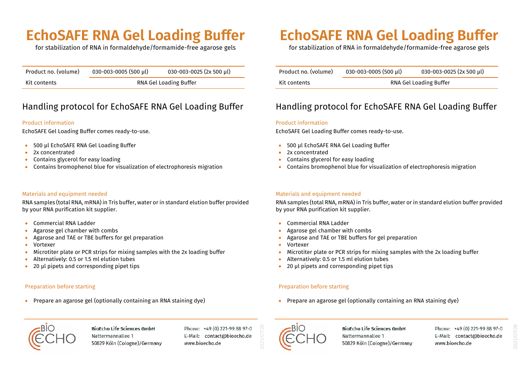### **EchoSAFE RNA Gel Loading Buffer**

for stabilization of RNA in formaldehyde/formamide-free agarose gels

| Product no. (volume) | $030 - 003 - 0005$ (500 µl) | 030-003-0025 (2x 500 µl) |
|----------------------|-----------------------------|--------------------------|
| Kit contents         | RNA Gel Loading Buffer      |                          |

### Handling protocol for EchoSAFE RNA Gel Loading Buffer

#### Product information

EchoSAFE Gel Loading Buffer comes ready-to-use.

- 500 µl EchoSAFE RNA Gel Loading Buffer
- 2x concentrated
- Contains glycerol for easy loading
- Contains bromophenol blue for visualization of electrophoresis migration

#### Materials and equipment needed

RNA samples (total RNA, mRNA) in Tris buffer, water or in standard elution buffer provided by your RNA purification kit supplier.

- Commercial RNA Ladder
- Agarose gel chamber with combs
- Agarose and TAE or TBE buffers for gel preparation
- Vortexer
- Microtiter plate or PCR strips for mixing samples with the 2x loading buffer
- Alternatively: 0.5 or 1.5 ml elution tubes
- 20 µl pipets and corresponding pipet tips

#### Preparation before starting

• Prepare an agarose gel (optionally containing an RNA staining dye)

## **EchoSAFE RNA Gel Loading Buffer**

for stabilization of RNA in formaldehyde/formamide-free agarose gels

| Product no. (volume) | 030-003-0005 (500 µl)  | 030-003-0025 (2x 500 µl) |
|----------------------|------------------------|--------------------------|
| Kit contents         | RNA Gel Loading Buffer |                          |

### Handling protocol for EchoSAFE RNA Gel Loading Buffer

#### Product information

EchoSAFE Gel Loading Buffer comes ready-to-use.

- 500 µl EchoSAFE RNA Gel Loading Buffer
- 2x concentrated
- Contains glycerol for easy loading
- Contains bromophenol blue for visualization of electrophoresis migration

#### Materials and equipment needed

RNA samples (total RNA, mRNA) in Tris buffer, water or in standard elution buffer provided by your RNA purification kit supplier.

- Commercial RNA Ladder
- Agarose gel chamber with combs
- Agarose and TAE or TBE buffers for gel preparation
- Vortexer
- Microtiter plate or PCR strips for mixing samples with the 2x loading buffer
- Alternatively: 0.5 or 1.5 ml elution tubes
- 20 µl pipets and corresponding pipet tips

#### Preparation before starting

• Prepare an agarose gel (optionally containing an RNA staining dye)



**BioEcho Life Sciences GmbH** Nattermannallee 1 50829 Köln (Cologne)/Germany

Phone: +49 (0) 221-99 88 97-0 E-Mail: contact@bioecho.de www.bioecho.de



2021/07/28

**BioEcho Life Sciences GmbH** Nattermannallee 1 50829 Köln (Cologne)/Germany Phone: +49 (0) 221-99 88 97-0 E-Mail: contact@bioecho.de www.bioecho.de